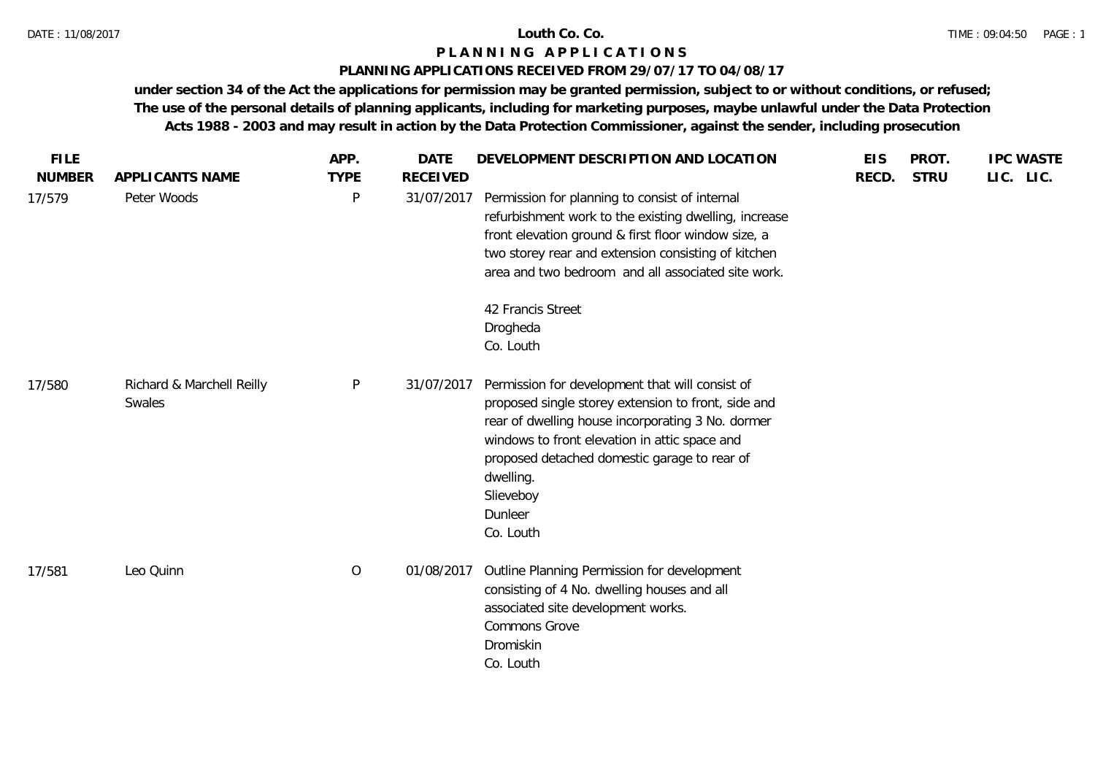### **PLANNING APPLICATIONS RECEIVED FROM 29/07/17 TO 04/08/17**

| <b>FILE</b><br><b>NUMBER</b> | APPLICANTS NAME                     | APP.<br><b>TYPE</b> | <b>DATE</b><br><b>RECEIVED</b> | DEVELOPMENT DESCRIPTION AND LOCATION                                                                                                                                                                                                                                                                           | <b>EIS</b><br>RECD. | PROT.<br><b>STRU</b> | <b>IPC WASTE</b><br>LIC. LIC. |
|------------------------------|-------------------------------------|---------------------|--------------------------------|----------------------------------------------------------------------------------------------------------------------------------------------------------------------------------------------------------------------------------------------------------------------------------------------------------------|---------------------|----------------------|-------------------------------|
| 17/579                       | Peter Woods                         | $\mathsf{P}$        | 31/07/2017                     | Permission for planning to consist of internal<br>refurbishment work to the existing dwelling, increase<br>front elevation ground & first floor window size, a<br>two storey rear and extension consisting of kitchen<br>area and two bedroom and all associated site work.                                    |                     |                      |                               |
|                              |                                     |                     |                                | 42 Francis Street<br>Drogheda<br>Co. Louth                                                                                                                                                                                                                                                                     |                     |                      |                               |
| 17/580                       | Richard & Marchell Reilly<br>Swales | $\mathsf{P}$        | 31/07/2017                     | Permission for development that will consist of<br>proposed single storey extension to front, side and<br>rear of dwelling house incorporating 3 No. dormer<br>windows to front elevation in attic space and<br>proposed detached domestic garage to rear of<br>dwelling.<br>Slieveboy<br>Dunleer<br>Co. Louth |                     |                      |                               |
| 17/581                       | Leo Quinn                           | $\circ$             | 01/08/2017                     | Outline Planning Permission for development<br>consisting of 4 No. dwelling houses and all<br>associated site development works.<br>Commons Grove<br>Dromiskin<br>Co. Louth                                                                                                                                    |                     |                      |                               |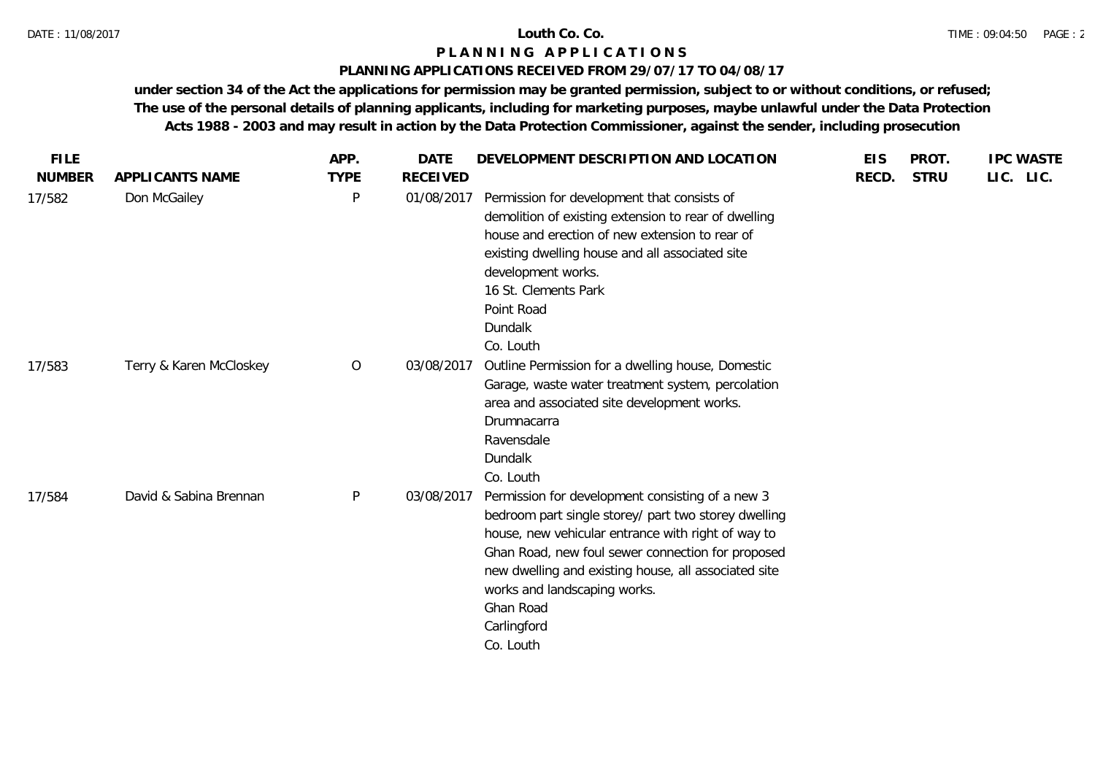## **PLANNING APPLICATIONS RECEIVED FROM 29/07/17 TO 04/08/17**

| <b>FILE</b>   |                         | APP.         | <b>DATE</b>     | DEVELOPMENT DESCRIPTION AND LOCATION                                                                                                                                                                                                                                                                                                                 | <b>EIS</b> | PROT.       | <b>IPC WASTE</b> |
|---------------|-------------------------|--------------|-----------------|------------------------------------------------------------------------------------------------------------------------------------------------------------------------------------------------------------------------------------------------------------------------------------------------------------------------------------------------------|------------|-------------|------------------|
| <b>NUMBER</b> | APPLICANTS NAME         | <b>TYPE</b>  | <b>RECEIVED</b> |                                                                                                                                                                                                                                                                                                                                                      | RECD.      | <b>STRU</b> | LIC. LIC.        |
| 17/582        | Don McGailey            | $\mathsf{P}$ | 01/08/2017      | Permission for development that consists of<br>demolition of existing extension to rear of dwelling<br>house and erection of new extension to rear of<br>existing dwelling house and all associated site<br>development works.<br>16 St. Clements Park<br>Point Road<br><b>Dundalk</b><br>Co. Louth                                                  |            |             |                  |
| 17/583        | Terry & Karen McCloskey | $\circ$      | 03/08/2017      | Outline Permission for a dwelling house, Domestic<br>Garage, waste water treatment system, percolation<br>area and associated site development works.<br>Drumnacarra<br>Ravensdale<br><b>Dundalk</b><br>Co. Louth                                                                                                                                    |            |             |                  |
| 17/584        | David & Sabina Brennan  | $\mathsf{P}$ | 03/08/2017      | Permission for development consisting of a new 3<br>bedroom part single storey/ part two storey dwelling<br>house, new vehicular entrance with right of way to<br>Ghan Road, new foul sewer connection for proposed<br>new dwelling and existing house, all associated site<br>works and landscaping works.<br>Ghan Road<br>Carlingford<br>Co. Louth |            |             |                  |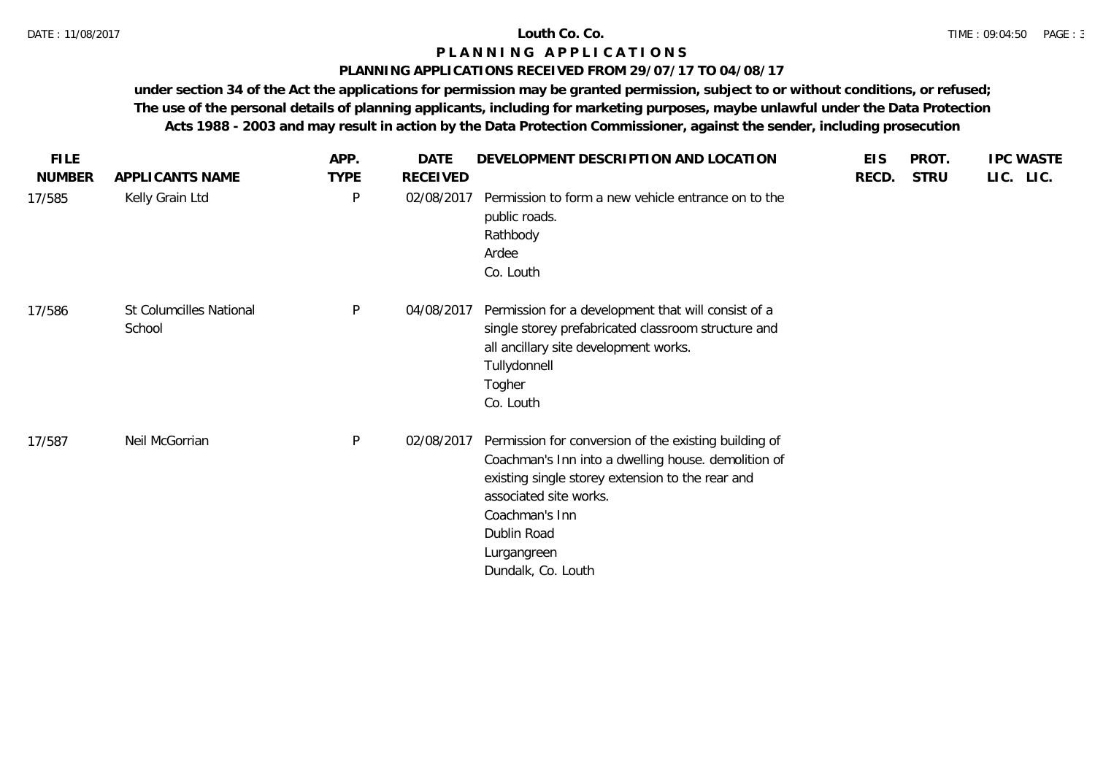### **PLANNING APPLICATIONS RECEIVED FROM 29/07/17 TO 04/08/17**

| <b>FILE</b>   |                                   | APP.         | DATE            | DEVELOPMENT DESCRIPTION AND LOCATION                                                                                                                                                                                                                             | <b>EIS</b> | PROT.       | <b>IPC WASTE</b> |
|---------------|-----------------------------------|--------------|-----------------|------------------------------------------------------------------------------------------------------------------------------------------------------------------------------------------------------------------------------------------------------------------|------------|-------------|------------------|
| <b>NUMBER</b> | APPLICANTS NAME                   | <b>TYPE</b>  | <b>RECEIVED</b> |                                                                                                                                                                                                                                                                  | RECD.      | <b>STRU</b> | LIC. LIC.        |
| 17/585        | Kelly Grain Ltd                   | $\mathsf{P}$ | 02/08/2017      | Permission to form a new vehicle entrance on to the<br>public roads.<br>Rathbody<br>Ardee<br>Co. Louth                                                                                                                                                           |            |             |                  |
| 17/586        | St Columcilles National<br>School | P            | 04/08/2017      | Permission for a development that will consist of a<br>single storey prefabricated classroom structure and<br>all ancillary site development works.<br>Tullydonnell<br>Togher<br>Co. Louth                                                                       |            |             |                  |
| 17/587        | Neil McGorrian                    | P            | 02/08/2017      | Permission for conversion of the existing building of<br>Coachman's Inn into a dwelling house. demolition of<br>existing single storey extension to the rear and<br>associated site works.<br>Coachman's Inn<br>Dublin Road<br>Lurgangreen<br>Dundalk, Co. Louth |            |             |                  |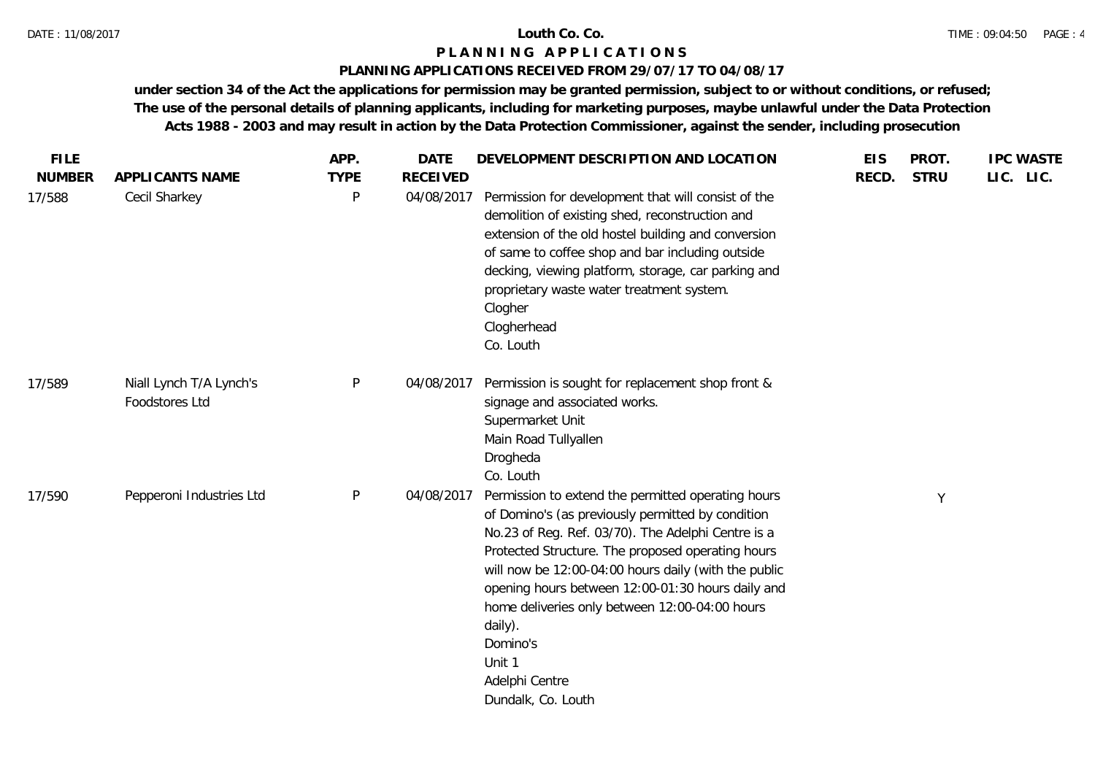## **PLANNING APPLICATIONS RECEIVED FROM 29/07/17 TO 04/08/17**

| <b>FILE</b>   |                                           | APP.        | <b>DATE</b>     | DEVELOPMENT DESCRIPTION AND LOCATION                                                                                                                                                                                                                                                                                                                                                                                                                       | <b>EIS</b> | PROT.       | <b>IPC WASTE</b> |
|---------------|-------------------------------------------|-------------|-----------------|------------------------------------------------------------------------------------------------------------------------------------------------------------------------------------------------------------------------------------------------------------------------------------------------------------------------------------------------------------------------------------------------------------------------------------------------------------|------------|-------------|------------------|
| <b>NUMBER</b> | <b>APPLICANTS NAME</b>                    | <b>TYPE</b> | <b>RECEIVED</b> |                                                                                                                                                                                                                                                                                                                                                                                                                                                            | RECD.      | <b>STRU</b> | LIC. LIC.        |
| 17/588        | Cecil Sharkey                             | P           | 04/08/2017      | Permission for development that will consist of the<br>demolition of existing shed, reconstruction and<br>extension of the old hostel building and conversion<br>of same to coffee shop and bar including outside<br>decking, viewing platform, storage, car parking and<br>proprietary waste water treatment system.<br>Clogher<br>Clogherhead<br>Co. Louth                                                                                               |            |             |                  |
| 17/589        | Niall Lynch T/A Lynch's<br>Foodstores Ltd | P           | 04/08/2017      | Permission is sought for replacement shop front &<br>signage and associated works.<br>Supermarket Unit<br>Main Road Tullyallen<br>Drogheda<br>Co. Louth                                                                                                                                                                                                                                                                                                    |            |             |                  |
| 17/590        | Pepperoni Industries Ltd                  | P           | 04/08/2017      | Permission to extend the permitted operating hours<br>of Domino's (as previously permitted by condition<br>No.23 of Reg. Ref. 03/70). The Adelphi Centre is a<br>Protected Structure. The proposed operating hours<br>will now be 12:00-04:00 hours daily (with the public<br>opening hours between 12:00-01:30 hours daily and<br>home deliveries only between 12:00-04:00 hours<br>daily).<br>Domino's<br>Unit 1<br>Adelphi Centre<br>Dundalk, Co. Louth |            | Y           |                  |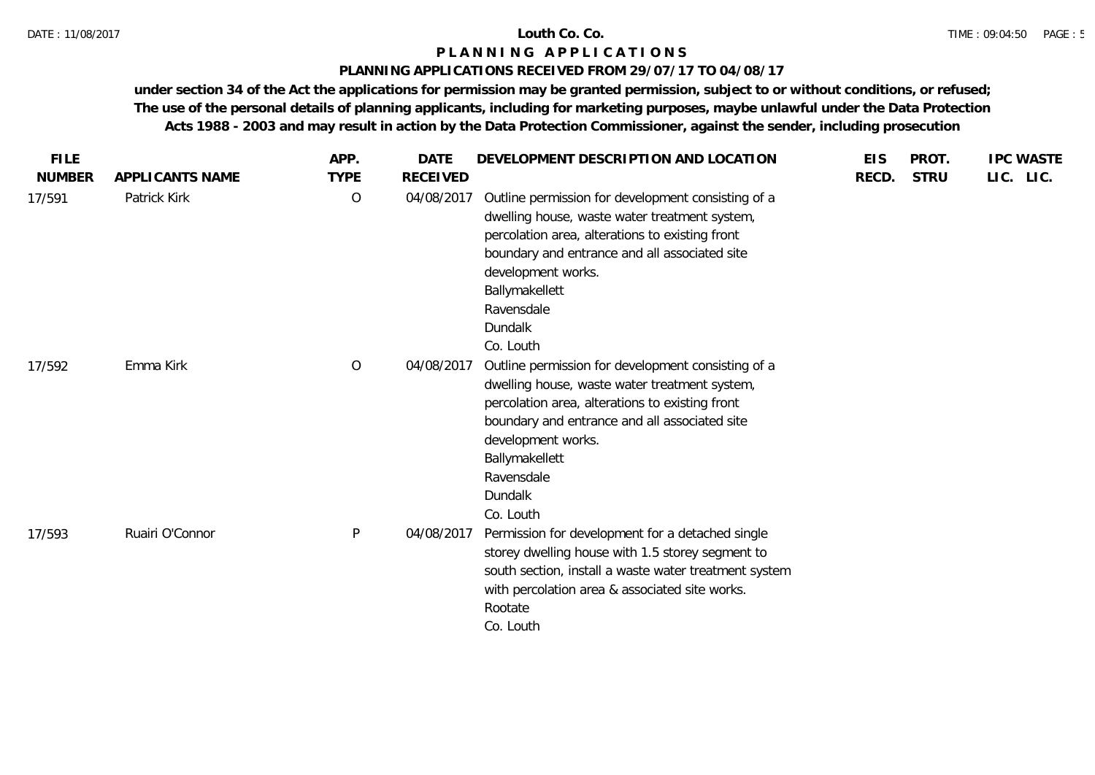## **PLANNING APPLICATIONS RECEIVED FROM 29/07/17 TO 04/08/17**

| <b>FILE</b>   |                 | APP.           | <b>DATE</b>     | DEVELOPMENT DESCRIPTION AND LOCATION                                                                                                                                                                                                                                                         | <b>EIS</b> | PROT.       | <b>IPC WASTE</b> |
|---------------|-----------------|----------------|-----------------|----------------------------------------------------------------------------------------------------------------------------------------------------------------------------------------------------------------------------------------------------------------------------------------------|------------|-------------|------------------|
| <b>NUMBER</b> | APPLICANTS NAME | <b>TYPE</b>    | <b>RECEIVED</b> |                                                                                                                                                                                                                                                                                              | RECD.      | <b>STRU</b> | LIC. LIC.        |
| 17/591        | Patrick Kirk    | $\overline{O}$ | 04/08/2017      | Outline permission for development consisting of a<br>dwelling house, waste water treatment system,<br>percolation area, alterations to existing front<br>boundary and entrance and all associated site<br>development works.<br>Ballymakellett<br>Ravensdale<br>Dundalk<br>Co. Louth        |            |             |                  |
| 17/592        | Emma Kirk       | $\circ$        | 04/08/2017      | Outline permission for development consisting of a<br>dwelling house, waste water treatment system,<br>percolation area, alterations to existing front<br>boundary and entrance and all associated site<br>development works.<br>Ballymakellett<br>Ravensdale<br><b>Dundalk</b><br>Co. Louth |            |             |                  |
| 17/593        | Ruairi O'Connor | P              | 04/08/2017      | Permission for development for a detached single<br>storey dwelling house with 1.5 storey segment to<br>south section, install a waste water treatment system<br>with percolation area & associated site works.<br>Rootate<br>Co. Louth                                                      |            |             |                  |